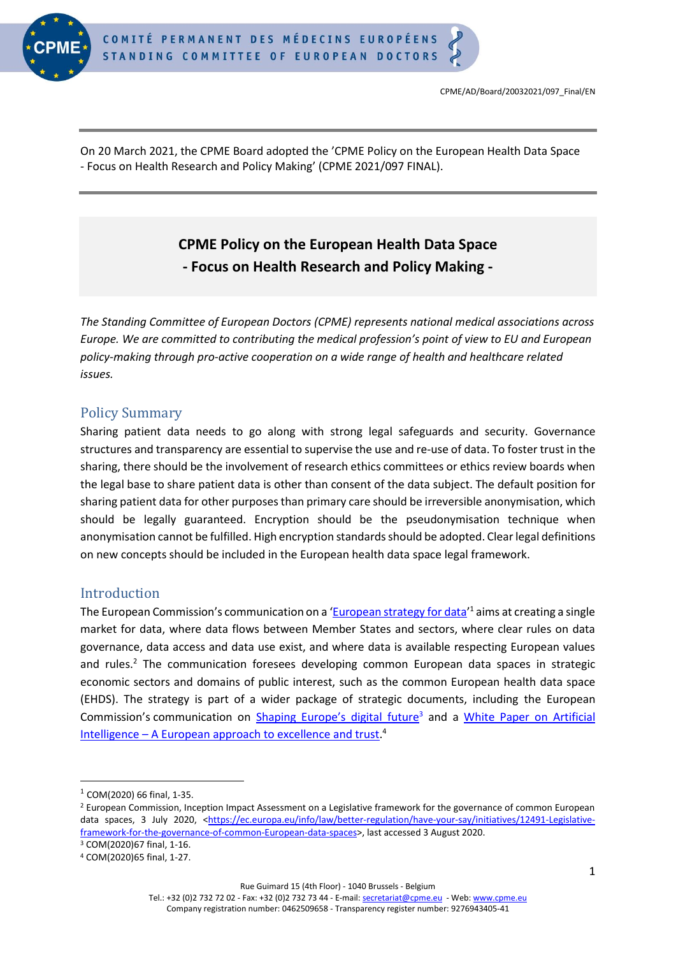

On 20 March 2021, the CPME Board adopted the 'CPME Policy on the European Health Data Space - Focus on Health Research and Policy Making' (CPME 2021/097 FINAL).

# **CPME Policy on the European Health Data Space - Focus on Health Research and Policy Making -**

*The Standing Committee of European Doctors (CPME) represents national medical associations across Europe. We are committed to contributing the medical profession's point of view to EU and European policy-making through pro-active cooperation on a wide range of health and healthcare related issues.*

# Policy Summary

Sharing patient data needs to go along with strong legal safeguards and security. Governance structures and transparency are essential to supervise the use and re-use of data. To foster trust in the sharing, there should be the involvement of research ethics committees or ethics review boards when the legal base to share patient data is other than consent of the data subject. The default position for sharing patient data for other purposes than primary care should be irreversible anonymisation, which should be legally guaranteed. Encryption should be the pseudonymisation technique when anonymisation cannot be fulfilled. High encryption standards should be adopted. Clear legal definitions on new concepts should be included in the European health data space legal framework.

#### Introduction

The European Commission's communication on a '[European strategy for data](https://ec.europa.eu/info/sites/info/files/communication-european-strategy-data-19feb2020_en.pdf)'<sup>1</sup> aims at creating a single market for data, where data flows between Member States and sectors, where clear rules on data governance, data access and data use exist, and where data is available respecting European values and rules.<sup>2</sup> The communication foresees developing common European data spaces in strategic economic sectors and domains of public interest, such as the common European health data space (EHDS). The strategy is part of a wider package of strategic documents, including the European Commission's communication on [Shaping Europe's digital future](https://ec.europa.eu/info/publications/communication-shaping-europes-digital-future_en)<sup>3</sup> and a White Paper on Artificial Intelligence - [A European approach to excellence and trust.](https://ec.europa.eu/info/publications/white-paper-artificial-intelligence-european-approach-excellence-and-trust_en)<sup>4</sup>

Rue Guimard 15 (4th Floor) - 1040 Brussels - Belgium

<sup>1</sup> COM(2020) 66 final, 1-35.

<sup>&</sup>lt;sup>2</sup> European Commission, Inception Impact Assessment on a Legislative framework for the governance of common European data spaces, 3 July 2020, [<https://ec.europa.eu/info/law/better-regulation/have-your-say/initiatives/12491-Legislative](https://ec.europa.eu/info/law/better-regulation/have-your-say/initiatives/12491-Legislative-framework-for-the-governance-of-common-European-data-spaces)[framework-for-the-governance-of-common-European-data-spaces>](https://ec.europa.eu/info/law/better-regulation/have-your-say/initiatives/12491-Legislative-framework-for-the-governance-of-common-European-data-spaces), last accessed 3 August 2020. <sup>3</sup> COM(2020)67 final, 1-16.

<sup>4</sup> COM(2020)65 final, 1-27.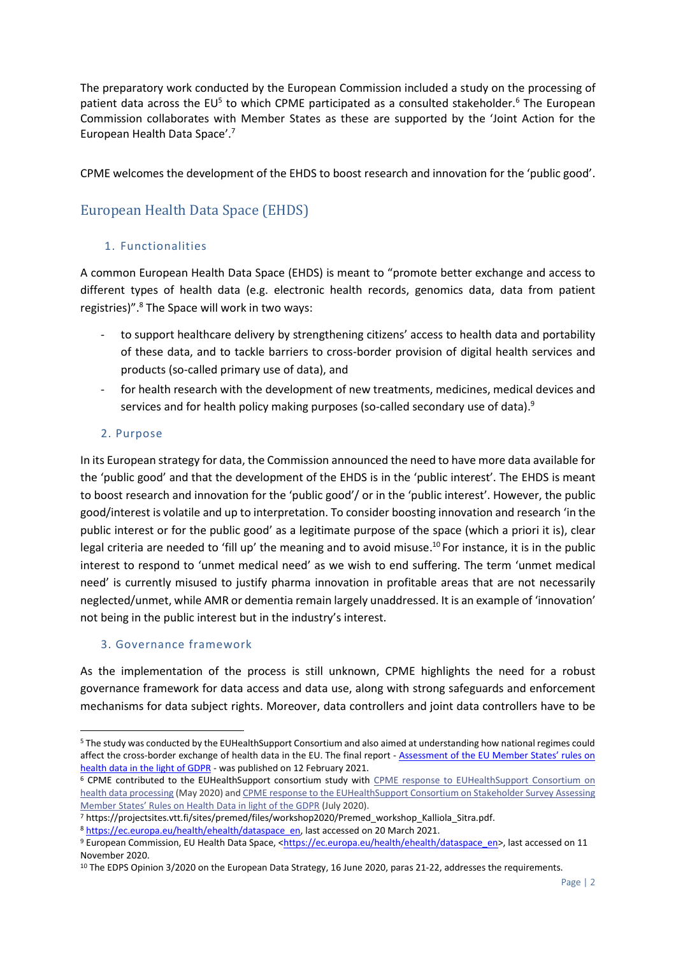The preparatory work conducted by the European Commission included a study on the processing of patient data across the EU<sup>5</sup> to which CPME participated as a consulted stakeholder.<sup>6</sup> The European Commission collaborates with Member States as these are supported by the 'Joint Action for the European Health Data Space'. 7

CPME welcomes the development of the EHDS to boost research and innovation for the 'public good'.

# European Health Data Space (EHDS)

#### 1. Functionalities

A common European Health Data Space (EHDS) is meant to "promote better exchange and access to different types of health data (e.g. electronic health records, genomics data, data from patient registries)".<sup>8</sup> The Space will work in two ways:

- to support healthcare delivery by strengthening citizens' access to health data and portability of these data, and to tackle barriers to cross-border provision of digital health services and products (so-called primary use of data), and
- for health research with the development of new treatments, medicines, medical devices and services and for health policy making purposes (so-called secondary use of data).<sup>9</sup>

#### 2. Purpose

In its European strategy for data, the Commission announced the need to have more data available for the 'public good' and that the development of the EHDS is in the 'public interest'. The EHDS is meant to boost research and innovation for the 'public good'/ or in the 'public interest'. However, the public good/interest is volatile and up to interpretation. To consider boosting innovation and research 'in the public interest or for the public good' as a legitimate purpose of the space (which a priori it is), clear legal criteria are needed to 'fill up' the meaning and to avoid misuse.<sup>10</sup> For instance, it is in the public interest to respond to 'unmet medical need' as we wish to end suffering. The term 'unmet medical need' is currently misused to justify pharma innovation in profitable areas that are not necessarily neglected/unmet, while AMR or dementia remain largely unaddressed. It is an example of 'innovation' not being in the public interest but in the industry's interest.

#### 3. Governance framework

As the implementation of the process is still unknown, CPME highlights the need for a robust governance framework for data access and data use, along with strong safeguards and enforcement mechanisms for data subject rights. Moreover, data controllers and joint data controllers have to be

<sup>5</sup> The study was conducted by the EUHealthSupport Consortium and also aimed at understanding how national regimes could affect the cross-border exchange of health data in the EU. The final report - [Assessment of the EU Member States' rules on](https://ec.europa.eu/health/sites/health/files/ehealth/docs/ms_rules_health-data_en.pdf)  [health data in the light of GDPR](https://ec.europa.eu/health/sites/health/files/ehealth/docs/ms_rules_health-data_en.pdf) - was published on 12 February 2021.

<sup>6</sup> CPME contributed to the EUHealthSupport consortium study with CPME response to [EUHealthSupport](https://www.cpme.eu/wp-content/uploads/database/2020/May/CPME-2020-048-FINAL-CPME-response-to-EUHealthSupport-Consortium-on-health-data-processing-07052020-1.pdf) Consortium on health data [processing](https://www.cpme.eu/wp-content/uploads/database/2020/May/CPME-2020-048-FINAL-CPME-response-to-EUHealthSupport-Consortium-on-health-data-processing-07052020-1.pdf) (May 2020) and CPME response to the [EUHealthSupport](https://www.cpme.eu/wp-content/uploads/adopted/2020/7/CPME_AD_EC_09072020_059.FINAL_.CPME_.response.EUHealthSupport.stakeholder.survey.pdf) Consortium on Stakeholder Survey Assessing [Member](https://www.cpme.eu/wp-content/uploads/adopted/2020/7/CPME_AD_EC_09072020_059.FINAL_.CPME_.response.EUHealthSupport.stakeholder.survey.pdf) States' Rules on Health Data in light of the GDPR (July 2020).

<sup>7</sup> https://projectsites.vtt.fi/sites/premed/files/workshop2020/Premed\_workshop\_Kalliola\_Sitra.pdf.

<sup>8</sup> [https://ec.europa.eu/health/ehealth/dataspace\\_en,](https://ec.europa.eu/health/ehealth/dataspace_en) last accessed on 20 March 2021.

<sup>9</sup> European Commission, EU Health Data Space, [<https://ec.europa.eu/health/ehealth/dataspace\\_en>](https://ec.europa.eu/health/ehealth/dataspace_en), last accessed on 11 November 2020.

<sup>&</sup>lt;sup>10</sup> The EDPS Opinion 3/2020 on the European Data Strategy, 16 June 2020, paras 21-22, addresses the requirements.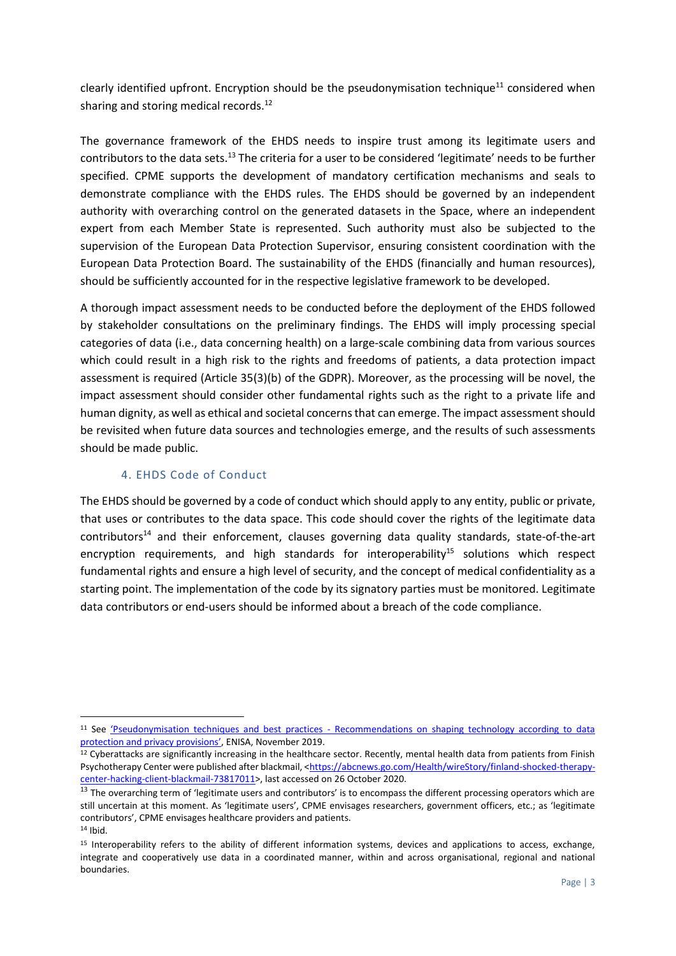clearly identified upfront. Encryption should be the pseudonymisation technique<sup>11</sup> considered when sharing and storing medical records.<sup>12</sup>

The governance framework of the EHDS needs to inspire trust among its legitimate users and contributors to the data sets.<sup>13</sup> The criteria for a user to be considered 'legitimate' needs to be further specified. CPME supports the development of mandatory certification mechanisms and seals to demonstrate compliance with the EHDS rules. The EHDS should be governed by an independent authority with overarching control on the generated datasets in the Space, where an independent expert from each Member State is represented. Such authority must also be subjected to the supervision of the European Data Protection Supervisor, ensuring consistent coordination with the European Data Protection Board. The sustainability of the EHDS (financially and human resources), should be sufficiently accounted for in the respective legislative framework to be developed.

A thorough impact assessment needs to be conducted before the deployment of the EHDS followed by stakeholder consultations on the preliminary findings. The EHDS will imply processing special categories of data (i.e., data concerning health) on a large-scale combining data from various sources which could result in a high risk to the rights and freedoms of patients, a data protection impact assessment is required (Article 35(3)(b) of the GDPR). Moreover, as the processing will be novel, the impact assessment should consider other fundamental rights such as the right to a private life and human dignity, as well as ethical and societal concernsthat can emerge. The impact assessment should be revisited when future data sources and technologies emerge, and the results of such assessments should be made public.

#### 4. EHDS Code of Conduct

The EHDS should be governed by a code of conduct which should apply to any entity, public or private, that uses or contributes to the data space. This code should cover the rights of the legitimate data contributors<sup>14</sup> and their enforcement, clauses governing data quality standards, state-of-the-art encryption requirements, and high standards for interoperability<sup>15</sup> solutions which respect fundamental rights and ensure a high level of security, and the concept of medical confidentiality as a starting point. The implementation of the code by its signatory parties must be monitored. Legitimate data contributors or end-users should be informed about a breach of the code compliance.

<sup>11</sup> See 'Pseudonymisation techniques and best practices - [Recommendations on shaping technology according to data](https://www.enisa.europa.eu/publications/pseudonymisation-techniques-and-best-practices/at_download/fullReport)  protection [and privacy provisions'](https://www.enisa.europa.eu/publications/pseudonymisation-techniques-and-best-practices/at_download/fullReport), ENISA, November 2019.

<sup>&</sup>lt;sup>12</sup> Cyberattacks are significantly increasing in the healthcare sector. Recently, mental health data from patients from Finish Psychotherapy Center were published after blackmail, [<https://abcnews.go.com/Health/wireStory/finland-shocked-therapy](https://abcnews.go.com/Health/wireStory/finland-shocked-therapy-center-hacking-client-blackmail-73817011)[center-hacking-client-blackmail-73817011>](https://abcnews.go.com/Health/wireStory/finland-shocked-therapy-center-hacking-client-blackmail-73817011), last accessed on 26 October 2020.

<sup>&</sup>lt;sup>13</sup> The overarching term of 'legitimate users and contributors' is to encompass the different processing operators which are still uncertain at this moment. As 'legitimate users', CPME envisages researchers, government officers, etc.; as 'legitimate contributors', CPME envisages healthcare providers and patients.  $14$  Ibid.

<sup>15</sup> Interoperability refers to the ability of different information systems, devices and applications to access, exchange, integrate and cooperatively use data in a coordinated manner, within and across organisational, regional and national boundaries.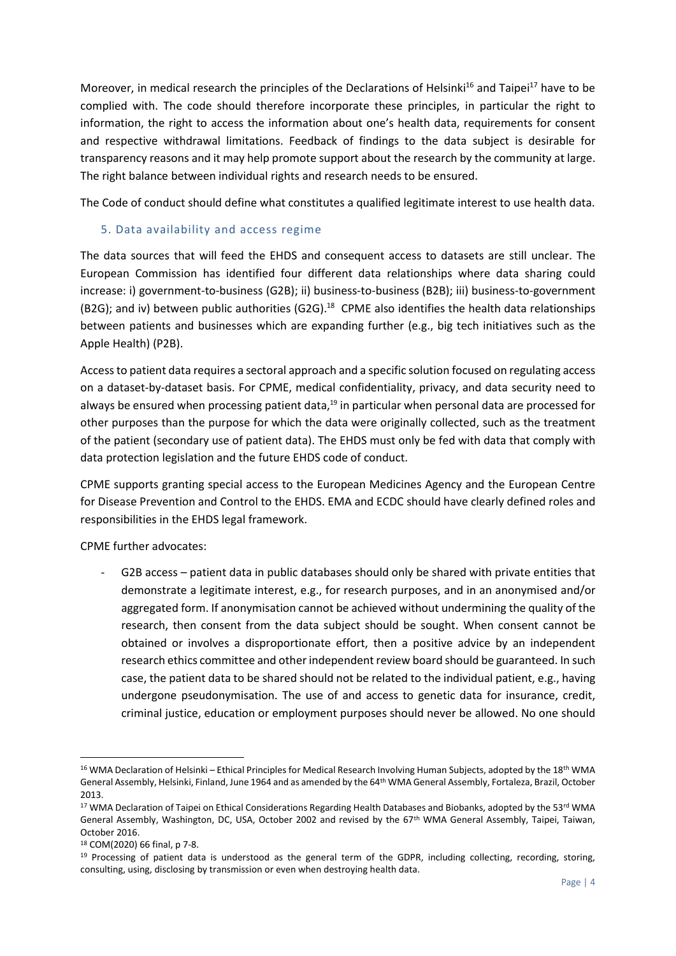Moreover, in medical research the principles of the Declarations of Helsinki<sup>16</sup> and Taipei<sup>17</sup> have to be complied with. The code should therefore incorporate these principles, in particular the right to information, the right to access the information about one's health data, requirements for consent and respective withdrawal limitations. Feedback of findings to the data subject is desirable for transparency reasons and it may help promote support about the research by the community at large. The right balance between individual rights and research needs to be ensured.

The Code of conduct should define what constitutes a qualified legitimate interest to use health data.

#### 5. Data availability and access regime

The data sources that will feed the EHDS and consequent access to datasets are still unclear. The European Commission has identified four different data relationships where data sharing could increase: i) government-to-business (G2B); ii) business-to-business (B2B); iii) business-to-government (B2G); and iv) between public authorities (G2G).<sup>18</sup> CPME also identifies the health data relationships between patients and businesses which are expanding further (e.g., big tech initiatives such as the Apple Health) (P2B).

Access to patient data requires a sectoral approach and a specific solution focused on regulating access on a dataset-by-dataset basis. For CPME, medical confidentiality, privacy, and data security need to always be ensured when processing patient data,<sup>19</sup> in particular when personal data are processed for other purposes than the purpose for which the data were originally collected, such as the treatment of the patient (secondary use of patient data). The EHDS must only be fed with data that comply with data protection legislation and the future EHDS code of conduct.

CPME supports granting special access to the European Medicines Agency and the European Centre for Disease Prevention and Control to the EHDS. EMA and ECDC should have clearly defined roles and responsibilities in the EHDS legal framework.

CPME further advocates:

- G2B access – patient data in public databases should only be shared with private entities that demonstrate a legitimate interest, e.g., for research purposes, and in an anonymised and/or aggregated form. If anonymisation cannot be achieved without undermining the quality of the research, then consent from the data subject should be sought. When consent cannot be obtained or involves a disproportionate effort, then a positive advice by an independent research ethics committee and other independent review board should be guaranteed. In such case, the patient data to be shared should not be related to the individual patient, e.g., having undergone pseudonymisation. The use of and access to genetic data for insurance, credit, criminal justice, education or employment purposes should never be allowed. No one should

<sup>&</sup>lt;sup>16</sup> WMA Declaration of Helsinki – Ethical Principles for Medical Research Involving Human Subjects, adopted by the 18<sup>th</sup> WMA General Assembly, Helsinki, Finland, June 1964 and as amended by the 64th WMA General Assembly, Fortaleza, Brazil, October 2013.

<sup>&</sup>lt;sup>17</sup> WMA Declaration of Taipei on Ethical Considerations Regarding Health Databases and Biobanks, adopted by the 53<sup>rd</sup> WMA General Assembly, Washington, DC, USA, October 2002 and revised by the 67th WMA General Assembly, Taipei, Taiwan, October 2016.

<sup>18</sup> COM(2020) 66 final, p 7-8.

 $19$  Processing of patient data is understood as the general term of the GDPR, including collecting, recording, storing, consulting, using, disclosing by transmission or even when destroying health data.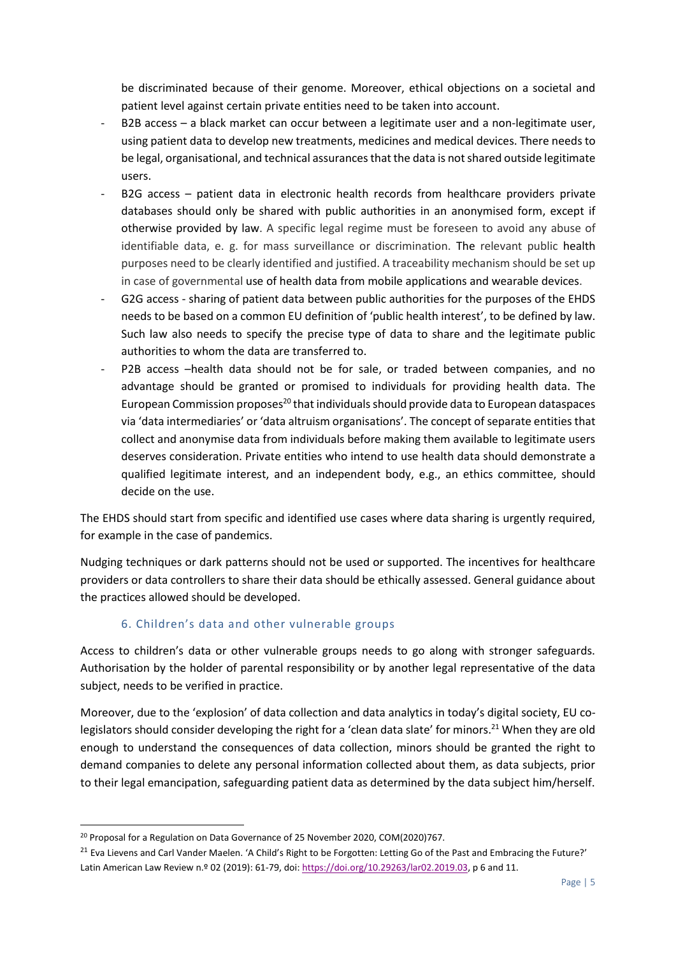be discriminated because of their genome. Moreover, ethical objections on a societal and patient level against certain private entities need to be taken into account.

- B2B access a black market can occur between a legitimate user and a non-legitimate user, using patient data to develop new treatments, medicines and medical devices. There needs to be legal, organisational, and technical assurances that the data is notshared outside legitimate users.
- B2G access patient data in electronic health records from healthcare providers private databases should only be shared with public authorities in an anonymised form, except if otherwise provided by law. A specific legal regime must be foreseen to avoid any abuse of identifiable data, e. g. for mass surveillance or discrimination. The relevant public health purposes need to be clearly identified and justified. A traceability mechanism should be set up in case of governmental use of health data from mobile applications and wearable devices.
- G2G access sharing of patient data between public authorities for the purposes of the EHDS needs to be based on a common EU definition of 'public health interest', to be defined by law. Such law also needs to specify the precise type of data to share and the legitimate public authorities to whom the data are transferred to.
- P2B access -health data should not be for sale, or traded between companies, and no advantage should be granted or promised to individuals for providing health data. The European Commission proposes $^{20}$  that individuals should provide data to European dataspaces via 'data intermediaries' or 'data altruism organisations'. The concept of separate entities that collect and anonymise data from individuals before making them available to legitimate users deserves consideration. Private entities who intend to use health data should demonstrate a qualified legitimate interest, and an independent body, e.g., an ethics committee, should decide on the use.

The EHDS should start from specific and identified use cases where data sharing is urgently required, for example in the case of pandemics.

Nudging techniques or dark patterns should not be used or supported. The incentives for healthcare providers or data controllers to share their data should be ethically assessed. General guidance about the practices allowed should be developed.

# 6. Children's data and other vulnerable groups

Access to children's data or other vulnerable groups needs to go along with stronger safeguards. Authorisation by the holder of parental responsibility or by another legal representative of the data subject, needs to be verified in practice.

Moreover, due to the 'explosion' of data collection and data analytics in today's digital society, EU colegislators should consider developing the right for a 'clean data slate' for minors.<sup>21</sup> When they are old enough to understand the consequences of data collection, minors should be granted the right to demand companies to delete any personal information collected about them, as data subjects, prior to their legal emancipation, safeguarding patient data as determined by the data subject him/herself.

<sup>20</sup> Proposal for a Regulation on Data Governance of 25 November 2020, COM(2020)767.

<sup>&</sup>lt;sup>21</sup> Eva Lievens and Carl Vander Maelen. 'A Child's Right to be Forgotten: Letting Go of the Past and Embracing the Future?' Latin American Law Review n.º 02 (2019): 61-79, doi[: https://doi.org/10.29263/lar02.2019.03,](https://doi.org/10.29263/lar02.2019.03) p 6 and 11.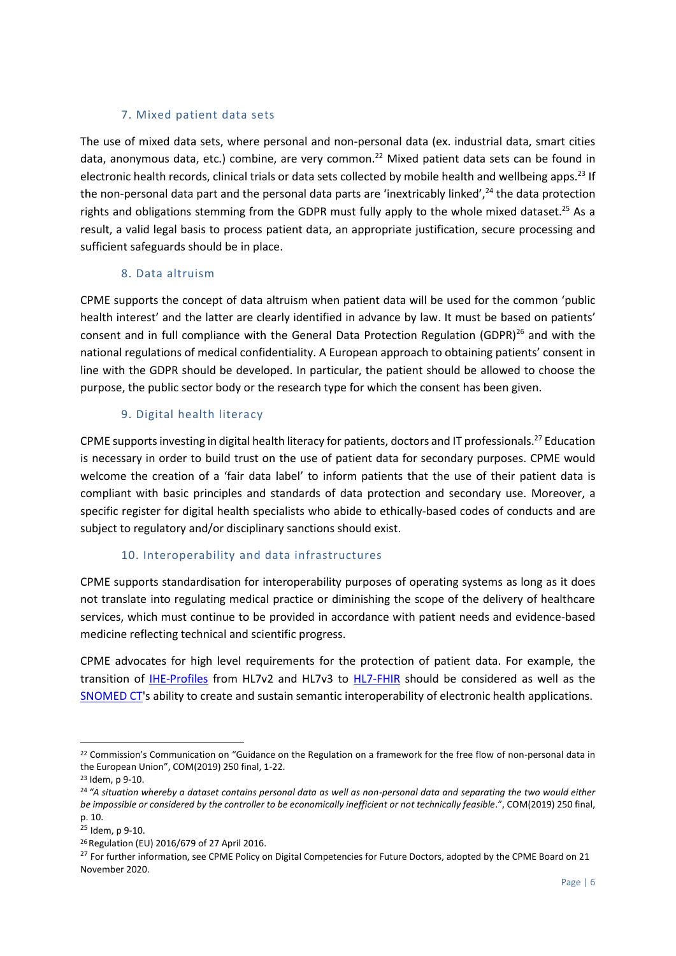#### 7. Mixed patient data sets

The use of mixed data sets, where personal and non-personal data (ex. industrial data, smart cities data, anonymous data, etc.) combine, are very common.<sup>22</sup> Mixed patient data sets can be found in electronic health records, clinical trials or data sets collected by mobile health and wellbeing apps.<sup>23</sup> If the non-personal data part and the personal data parts are 'inextricably linked',<sup>24</sup> the data protection rights and obligations stemming from the GDPR must fully apply to the whole mixed dataset.<sup>25</sup> As a result, a valid legal basis to process patient data, an appropriate justification, secure processing and sufficient safeguards should be in place.

#### 8. Data altruism

CPME supports the concept of data altruism when patient data will be used for the common 'public health interest' and the latter are clearly identified in advance by law. It must be based on patients' consent and in full compliance with the General Data Protection Regulation (GDPR) $^{26}$  and with the national regulations of medical confidentiality. A European approach to obtaining patients' consent in line with the GDPR should be developed. In particular, the patient should be allowed to choose the purpose, the public sector body or the research type for which the consent has been given.

#### 9. Digital health literacy

CPME supports investing in digital health literacy for patients, doctors and IT professionals.<sup>27</sup> Education is necessary in order to build trust on the use of patient data for secondary purposes. CPME would welcome the creation of a 'fair data label' to inform patients that the use of their patient data is compliant with basic principles and standards of data protection and secondary use. Moreover, a specific register for digital health specialists who abide to ethically-based codes of conducts and are subject to regulatory and/or disciplinary sanctions should exist.

#### 10. Interoperability and data infrastructures

CPME supports standardisation for interoperability purposes of operating systems as long as it does not translate into regulating medical practice or diminishing the scope of the delivery of healthcare services, which must continue to be provided in accordance with patient needs and evidence-based medicine reflecting technical and scientific progress.

CPME advocates for high level requirements for the protection of patient data. For example, the transition of [IHE-Profiles](https://www.hl7.org/fhir/) from HL7v2 and HL7v3 to [HL7-FHIR](https://www.hl7.org/fhir/summary.html) should be considered as well as the [SNOMED CT'](https://confluence.ihtsdotools.org/display/DOCEG/Semantic+Interoperability)s ability to create and sustain semantic interoperability of electronic health applications.

<sup>&</sup>lt;sup>22</sup> Commission's Communication on "Guidance on the Regulation on a framework for the free flow of non-personal data in the European Union", COM(2019) 250 final, 1-22.

<sup>23</sup> Idem, p 9-10.

<sup>24</sup> *"A situation whereby a dataset contains personal data as well as non-personal data and separating the two would either be impossible or considered by the controller to be economically inefficient or not technically feasible*.", COM(2019) 250 final, p. 10.

<sup>25</sup> Idem, p 9-10.

<sup>26</sup> Regulation (EU) 2016/679 of 27 April 2016.

<sup>&</sup>lt;sup>27</sup> For further information, see CPME Policy on Digital Competencies for Future Doctors, adopted by the CPME Board on 21 November 2020.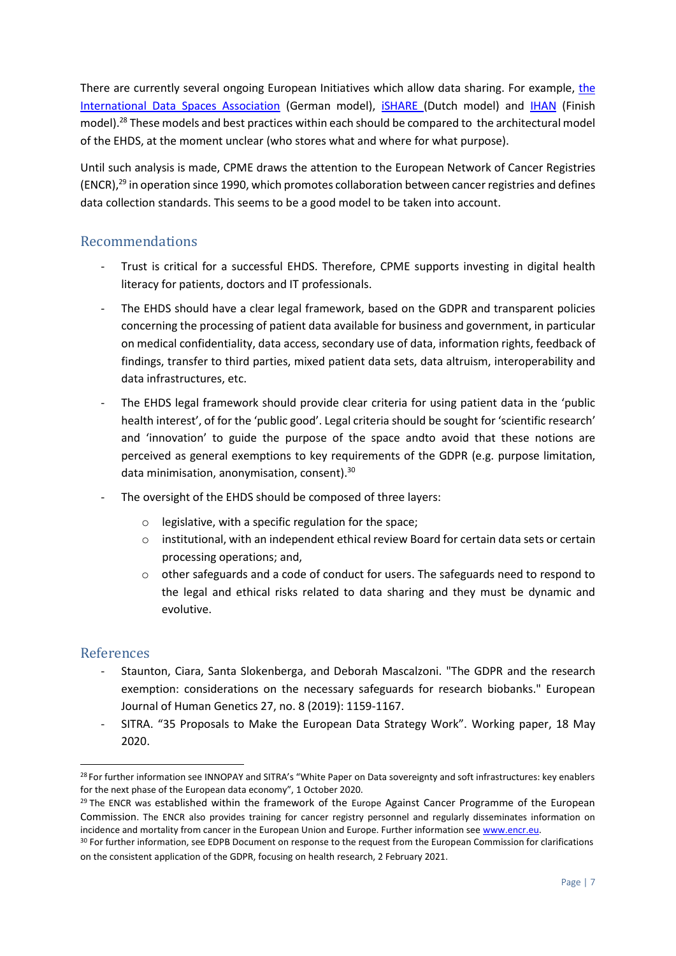There are currently several ongoing European Initiatives which allow data sharing. For example, the [International Data Spaces Association](https://www.internationaldataspaces.org/) (German model), **ISHARE** (Dutch model) and **[IHAN](http://www.ihan.fi/)** (Finish model).<sup>28</sup> These models and best practices within each should be compared to the architectural model of the EHDS, at the moment unclear (who stores what and where for what purpose).

Until such analysis is made, CPME draws the attention to the European Network of Cancer Registries  $(ENCR)<sup>29</sup>$  in operation since 1990, which promotes collaboration between cancer registries and defines data collection standards. This seems to be a good model to be taken into account.

# Recommendations

- Trust is critical for a successful EHDS. Therefore, CPME supports investing in digital health literacy for patients, doctors and IT professionals.
- The EHDS should have a clear legal framework, based on the GDPR and transparent policies concerning the processing of patient data available for business and government, in particular on medical confidentiality, data access, secondary use of data, information rights, feedback of findings, transfer to third parties, mixed patient data sets, data altruism, interoperability and data infrastructures, etc.
- The EHDS legal framework should provide clear criteria for using patient data in the 'public health interest', of for the 'public good'. Legal criteria should be sought for 'scientific research' and 'innovation' to guide the purpose of the space andto avoid that these notions are perceived as general exemptions to key requirements of the GDPR (e.g. purpose limitation, data minimisation, anonymisation, consent).<sup>30</sup>
- The oversight of the EHDS should be composed of three layers:
	- o legislative, with a specific regulation for the space;
	- $\circ$  institutional, with an independent ethical review Board for certain data sets or certain processing operations; and,
	- $\circ$  other safeguards and a code of conduct for users. The safeguards need to respond to the legal and ethical risks related to data sharing and they must be dynamic and evolutive.

# References

- Staunton, Ciara, Santa Slokenberga, and Deborah Mascalzoni. "The GDPR and the research exemption: considerations on the necessary safeguards for research biobanks." European Journal of Human Genetics 27, no. 8 (2019): 1159-1167.
- SITRA. "35 Proposals to Make the European Data Strategy Work". Working paper, 18 May 2020.

<sup>&</sup>lt;sup>28</sup> For further information see INNOPAY and SITRA's "White Paper on Data sovereignty and soft infrastructures: key enablers for the next phase of the European data economy", 1 October 2020.

<sup>&</sup>lt;sup>29</sup> The ENCR was established within the framework of the Europe Against Cancer Programme of the European Commission. The ENCR also provides training for cancer registry personnel and regularly disseminates information on incidence and mortality from cancer in the European Union and Europe. Further information se[e www.encr.eu.](http://www.encr.eu/)

<sup>30</sup> For further information, see EDPB Document on response to the request from the European Commission for clarifications on the consistent application of the GDPR, focusing on health research, 2 February 2021.